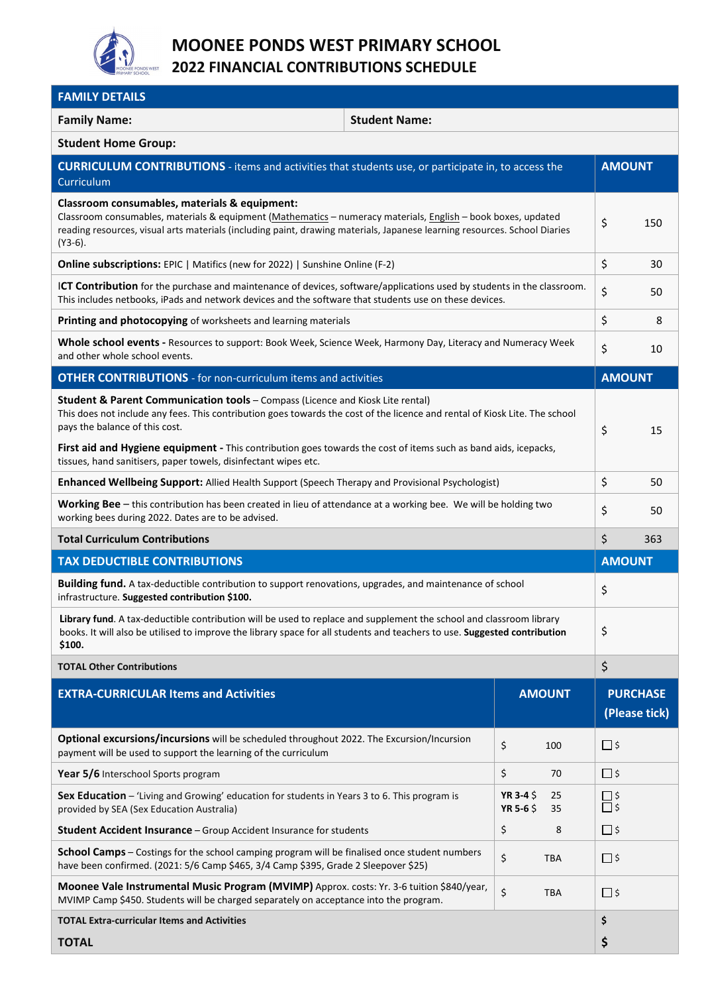

## **MOONEE PONDS WEST PRIMARY SCHOOL 2022 FINANCIAL CONTRIBUTIONS SCHEDULE**

| <b>FAMILY DETAILS</b>                                                                                                                                                                                                                                                                                     |                                               |                                  |  |  |  |
|-----------------------------------------------------------------------------------------------------------------------------------------------------------------------------------------------------------------------------------------------------------------------------------------------------------|-----------------------------------------------|----------------------------------|--|--|--|
| <b>Student Name:</b><br><b>Family Name:</b>                                                                                                                                                                                                                                                               |                                               |                                  |  |  |  |
| <b>Student Home Group:</b>                                                                                                                                                                                                                                                                                |                                               |                                  |  |  |  |
| <b>CURRICULUM CONTRIBUTIONS</b> - items and activities that students use, or participate in, to access the<br>Curriculum                                                                                                                                                                                  |                                               | <b>AMOUNT</b>                    |  |  |  |
| Classroom consumables, materials & equipment:<br>Classroom consumables, materials & equipment (Mathematics - numeracy materials, English - book boxes, updated<br>reading resources, visual arts materials (including paint, drawing materials, Japanese learning resources. School Diaries<br>$(Y3-6)$ . |                                               |                                  |  |  |  |
| <b>Online subscriptions:</b> EPIC   Matifics (new for 2022)   Sunshine Online (F-2)                                                                                                                                                                                                                       |                                               |                                  |  |  |  |
| <b>ICT Contribution</b> for the purchase and maintenance of devices, software/applications used by students in the classroom.<br>This includes netbooks, iPads and network devices and the software that students use on these devices.                                                                   |                                               |                                  |  |  |  |
| Printing and photocopying of worksheets and learning materials                                                                                                                                                                                                                                            |                                               | \$<br>8                          |  |  |  |
| Whole school events - Resources to support: Book Week, Science Week, Harmony Day, Literacy and Numeracy Week<br>and other whole school events.                                                                                                                                                            |                                               |                                  |  |  |  |
| <b>OTHER CONTRIBUTIONS</b> - for non-curriculum items and activities                                                                                                                                                                                                                                      |                                               | <b>AMOUNT</b>                    |  |  |  |
| Student & Parent Communication tools - Compass (Licence and Kiosk Lite rental)<br>This does not include any fees. This contribution goes towards the cost of the licence and rental of Kiosk Lite. The school<br>pays the balance of this cost.                                                           |                                               |                                  |  |  |  |
| First aid and Hygiene equipment - This contribution goes towards the cost of items such as band aids, icepacks,<br>tissues, hand sanitisers, paper towels, disinfectant wipes etc.                                                                                                                        |                                               |                                  |  |  |  |
| Enhanced Wellbeing Support: Allied Health Support (Speech Therapy and Provisional Psychologist)                                                                                                                                                                                                           |                                               |                                  |  |  |  |
| Working Bee - this contribution has been created in lieu of attendance at a working bee. We will be holding two<br>working bees during 2022. Dates are to be advised.                                                                                                                                     |                                               |                                  |  |  |  |
| <b>Total Curriculum Contributions</b>                                                                                                                                                                                                                                                                     |                                               |                                  |  |  |  |
| <b>TAX DEDUCTIBLE CONTRIBUTIONS</b>                                                                                                                                                                                                                                                                       |                                               |                                  |  |  |  |
| Building fund. A tax-deductible contribution to support renovations, upgrades, and maintenance of school<br>infrastructure. Suggested contribution \$100.                                                                                                                                                 |                                               |                                  |  |  |  |
| Library fund. A tax-deductible contribution will be used to replace and supplement the school and classroom library<br>books. It will also be utilised to improve the library space for all students and teachers to use. Suggested contribution<br>\$100.                                                |                                               |                                  |  |  |  |
| $\zeta$<br><b>TOTAL Other Contributions</b>                                                                                                                                                                                                                                                               |                                               |                                  |  |  |  |
| <b>EXTRA-CURRICULAR Items and Activities</b>                                                                                                                                                                                                                                                              | <b>AMOUNT</b>                                 | <b>PURCHASE</b><br>(Please tick) |  |  |  |
| Optional excursions/incursions will be scheduled throughout 2022. The Excursion/Incursion<br>payment will be used to support the learning of the curriculum                                                                                                                                               | \$<br>100                                     | $\square$ \$                     |  |  |  |
| Year 5/6 Interschool Sports program                                                                                                                                                                                                                                                                       | \$<br>70                                      | $\square$ \$                     |  |  |  |
| Sex Education - 'Living and Growing' education for students in Years 3 to 6. This program is<br>provided by SEA (Sex Education Australia)                                                                                                                                                                 | YR 3-4 \$<br>25<br>YR 5-6 $\frac{2}{3}$<br>35 | $\frac{\Box}{\Box}$ \$           |  |  |  |
| Student Accident Insurance - Group Accident Insurance for students                                                                                                                                                                                                                                        | \$<br>8                                       | $\square$ \$                     |  |  |  |
| School Camps - Costings for the school camping program will be finalised once student numbers<br>have been confirmed. (2021: 5/6 Camp \$465, 3/4 Camp \$395, Grade 2 Sleepover \$25)                                                                                                                      | \$<br>TBA                                     | □ \$                             |  |  |  |
| Moonee Vale Instrumental Music Program (MVIMP) Approx. costs: Yr. 3-6 tuition \$840/year,<br>MVIMP Camp \$450. Students will be charged separately on acceptance into the program.                                                                                                                        | \$<br>TBA                                     | $\square$ \$                     |  |  |  |
| <b>TOTAL Extra-curricular Items and Activities</b>                                                                                                                                                                                                                                                        |                                               |                                  |  |  |  |
| <b>TOTAL</b>                                                                                                                                                                                                                                                                                              |                                               | \$                               |  |  |  |